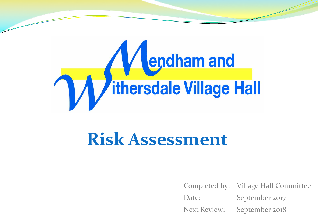

|                     | Completed by:   Village Hall Committee |
|---------------------|----------------------------------------|
| Date:               | September 2017                         |
| <b>Next Review:</b> | September 2018                         |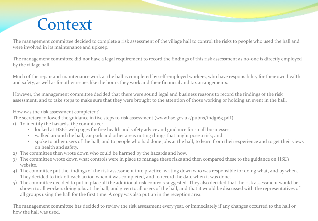#### **Context**

The management committee decided to complete a risk assessment of the village hall to control the risks to people who used the hall and were involved in its maintenance and upkeep.

The management committee did not have a legal requirement to record the findings of this risk assessment as no-one is directly employed by the village hall.

Much of the repair and maintenance work at the hall is completed by self-employed workers, who have responsibility for their own health and safety, as well as for other issues like the hours they work and their financial and tax arrangements.

However, the management committee decided that there were sound legal and business reasons to record the findings of the risk assessment, and to take steps to make sure that they were brought to the attention of those working or holding an event in the hall.

How was the risk assessment completed?

The secretary followed the guidance in five steps to risk assessment (www.hse.gov.uk/pubns/indg163.pdf).

- 1) To identify the hazards, the committee:
	- looked at HSE's web pages for free health and safety advice and guidance for small businesses;
	- walked around the hall, car park and other areas noting things that might pose a risk; and
	- spoke to other users of the hall, and to people who had done jobs at the hall, to learn from their experience and to get their views on health and safety.
- 2) The committee then wrote down who could be harmed by the hazards and how.
- 3) The committee wrote down what controls were in place to manage these risks and then compared these to the guidance on HSE's website.
- 4) The committee put the findings of the risk assessment into practice, writing down who was responsible for doing what, and by when. They decided to tick off each action when it was completed, and to record the date when it was done.
- 5) The committee decided to put in place all the additional risk controls suggested. They also decided that the risk assessment would be shown to all workers doing jobs at the hall, and given to all users of the hall, and that it would be discussed with the representatives of all groups using the hall for the first time. A copy was also put up in the reception area.

The management committee has decided to review the risk assessment every year, or immediately if any changes occurred to the hall or how the hall was used.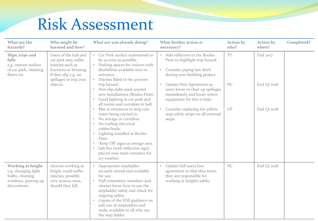| What are the<br>hazards?                                                                                                                                                   | Who might be<br>harmed and how?                                                                                                                                                                                                                                                  | What are you already doing?                                                                                                                                                                                                                                                                                 | What further action is<br>necessary?                                                                                      | <b>Action by</b><br>who?                                                                   | <b>Action by</b><br>when? | Completed?  |
|----------------------------------------------------------------------------------------------------------------------------------------------------------------------------|----------------------------------------------------------------------------------------------------------------------------------------------------------------------------------------------------------------------------------------------------------------------------------|-------------------------------------------------------------------------------------------------------------------------------------------------------------------------------------------------------------------------------------------------------------------------------------------------------------|---------------------------------------------------------------------------------------------------------------------------|--------------------------------------------------------------------------------------------|---------------------------|-------------|
| Slips, trips and<br>falls<br>injuries such as<br>e.g. uneven surface<br>of car park, cleaning<br>if they slip e.g. on<br>floors etc.<br>spillages or trip over<br>objects. | Users of the hall and<br>Car Park surface maintained to<br>car park may suffer<br>be as even as possible.<br>Parking spaces for visitors with<br>$\bullet$<br>disabilities available next to<br>fractures or bruising<br>entrance.<br>Ditches filled in the prevent<br>$\bullet$ | Add reflectors to the Boules<br>Piste to highlight trip hazard.<br>Consider piping last ditch<br>$\bullet$<br>during next building project.                                                                                                                                                                 | <b>TT</b>                                                                                                                 | End 2017                                                                                   |                           |             |
|                                                                                                                                                                            |                                                                                                                                                                                                                                                                                  | trip hazard.<br>Non slip slabs used around<br>new installations (Boules Piste)<br>Good lighting in car park and<br>all rooms and corridors in hall.                                                                                                                                                         | Update Hire Agreement so<br>users know to clear up spillages<br>immediately and know where<br>equipment for this is kept. | NC                                                                                         | End Q1 2018               |             |
|                                                                                                                                                                            |                                                                                                                                                                                                                                                                                  | Mat at entrances to stop rain<br>water being carried in.<br>No storage in corridors.<br>$\bullet$<br>No trailing electrical<br>cables/leads.<br>Lighting installed at Boules<br>$\bullet$<br>Piste.<br>$\bullet$<br>Salt bin (with reflective sign)<br>icy weather.                                         | 'Keep Off' signs at sewage area.<br>placed near main entrance for                                                         | Consider replacing the yellow<br>$\bullet$<br>step safety strips on all external<br>steps. | GP                        | End Q1 2018 |
| Working at height<br>e.g. changing light<br>bulbs, cleaning<br>windows, putting up<br>decorations.                                                                         | Anyone working at<br>height could suffer<br>injuries, possibly<br>very serious ones,<br>should they fall.                                                                                                                                                                        | Appropriate stepladder<br>securely stored and available<br>for use.<br>Hall committee members and<br>cleaner know how to use the<br>stepladder safely and check for<br>ongoing safety.<br>Copies of the HSE guidance on<br>safe use of stepladders and<br>make available to all who use<br>the step ladder. | Update hall users hire<br>agreement so that they know<br>they are responsible for<br>working at heights safely.           | <b>NC</b>                                                                                  | End Q1 2018               |             |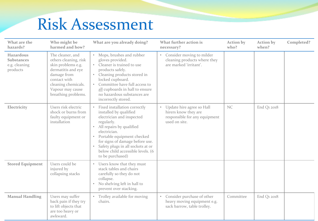| What are the<br>hazards?                                    | Who might be<br>harmed and how?                                                                                                                                                        | What are you already doing?                                                                                                                                                                                                                                                                                                                                      | What further action is<br>necessary?                                                                | <b>Action</b> by<br>who? | <b>Action by</b><br>when? | Completed? |
|-------------------------------------------------------------|----------------------------------------------------------------------------------------------------------------------------------------------------------------------------------------|------------------------------------------------------------------------------------------------------------------------------------------------------------------------------------------------------------------------------------------------------------------------------------------------------------------------------------------------------------------|-----------------------------------------------------------------------------------------------------|--------------------------|---------------------------|------------|
| Hazardous<br><b>Substances</b><br>e.g. cleaning<br>products | The cleaner, and<br>others cleaning, risk<br>skin problems e.g.<br>dermatitis and eye<br>damage from<br>contact with<br>cleaning chemicals.<br>Vapour may cause<br>breathing problems. | Mops, brushes and rubber<br>gloves provided.<br>Cleaner is trained to use<br>products safely.<br>Cleaning products stored in<br>locked cupboard.<br>Committee have full access to<br>$\bullet$<br>all cupboards in hall to ensure<br>no hazardous substances are<br>incorrectly stored.                                                                          | Consider moving to milder<br>$\bullet$<br>cleaning products where they<br>are marked 'irritant'.    |                          |                           |            |
| Electricity                                                 | Users risk electric<br>shock or burns from<br>faulty equipment or<br>installation                                                                                                      | Fixed installation correctly<br>$\bullet$<br>installed by qualified<br>electrician and inspected<br>regularly.<br>All repairs by qualified<br>$\bullet$<br>electrician.<br>Portable equipment checked<br>$\bullet$<br>for signs of damage before use.<br>Safety plugs in all sockets at or<br>$\bullet$<br>below child accessible levels. (6<br>to be purchased) | Update hire agree so Hall<br>hirers know they are<br>responsible for any equipment<br>used on site. | NC                       | End Q1 2018               |            |
| <b>Stored Equipment</b>                                     | Users could be<br>injured by<br>collapsing stacks                                                                                                                                      | Users know that they must<br>$\bullet$<br>stack tables and chairs<br>carefully so they do not<br>collapse.<br>No shelving left in hall to<br>$\bullet$<br>prevent over stacking.                                                                                                                                                                                 |                                                                                                     |                          |                           |            |
| <b>Manual Handling</b>                                      | Users may suffer<br>back pain if they try<br>to lift objects that<br>are too heavy or<br>awkward.                                                                                      | Trolley available for moving<br>chairs.                                                                                                                                                                                                                                                                                                                          | Consider purchase of other<br>heavy moving equipment e.g.<br>sack barrow, table trolley.            | Committee                | End Q1 2018               |            |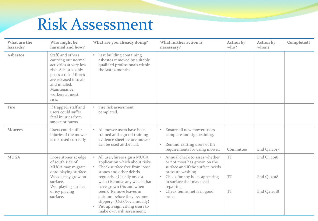| What are the<br>hazards? | Who might be<br>harmed and how?                                                                                                                                                                         | What are you already doing?                                                                                                                                                                                                                                                                                                                                             | What further action is<br>necessary?                                                                                                                                                                                                                                | <b>Action by</b><br>who?     | Action by<br>when?                        | Completed? |
|--------------------------|---------------------------------------------------------------------------------------------------------------------------------------------------------------------------------------------------------|-------------------------------------------------------------------------------------------------------------------------------------------------------------------------------------------------------------------------------------------------------------------------------------------------------------------------------------------------------------------------|---------------------------------------------------------------------------------------------------------------------------------------------------------------------------------------------------------------------------------------------------------------------|------------------------------|-------------------------------------------|------------|
| <b>Asbestos</b>          | Staff, and others<br>carrying out normal<br>activities at very low<br>risk. Asbestos only<br>poses a risk if fibres<br>are released into air<br>and inhaled.<br>Maintenance<br>workers at most<br>risk. | Last building containing<br>asbestos removed by suitably<br>qualified professionals within<br>the last 12 months.                                                                                                                                                                                                                                                       |                                                                                                                                                                                                                                                                     |                              |                                           |            |
| Fire                     | If trapped, staff and<br>users could suffer<br>fatal injuries from<br>smoke or burns.                                                                                                                   | Fire risk assessment<br>completed.                                                                                                                                                                                                                                                                                                                                      |                                                                                                                                                                                                                                                                     |                              |                                           |            |
| <b>Mowers</b>            | Users could suffer<br>injuries if the mower<br>is not used correctly                                                                                                                                    | All mower users have been<br>trained and sign off training<br>evidence sheet before mower<br>can be used at the hall.                                                                                                                                                                                                                                                   | Ensure all new mower users<br>complete and sign training.<br>Remind existing users of the<br>$\bullet$<br>requirements for using mower.                                                                                                                             | Committee                    | End Q4 2017                               |            |
| <b>MUGA</b>              | Loose stones at edge<br>of south side of<br>MUGA may migrate<br>onto playing surface.<br>Weeds may grow on<br>surface.<br>Wet playing surface<br>or icy playing<br>surface.                             | All user/hirers sign a MUGA<br>application which about risks.<br>Check surface free from loose<br>stones and other debris<br>regularly. (Usually once a<br>week) Remove any weeds that<br>have grown (As and when<br>seen). Remove leaves in<br>autumn before they become<br>slippery. (Oct/Nov annually)<br>Put up a sign asking users to<br>make own risk assessment. | Annual check to asses whether<br>$\bullet$<br>or not moss has grown on the<br>surface and if the surface needs<br>pressure washing<br>Check for any holes appearing<br>$\bullet$<br>in surface that may need<br>repairing<br>• Check tennis net is in good<br>order | <b>TT</b><br>TT<br><b>TT</b> | End Q1 2018<br>End Q1 2018<br>End Q2 2018 |            |